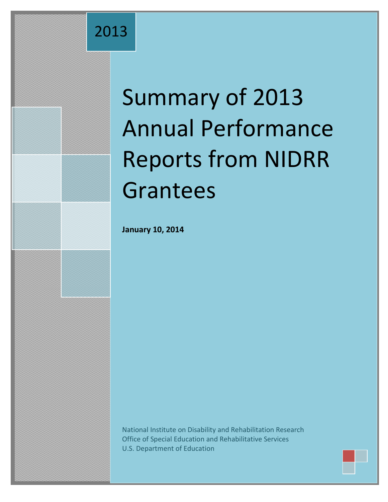## 2013

# Summary of 2013 Annual Performance Reports from NIDRR Grantees

**January 10, 2014**

National Institute on Disability and Rehabilitation Research Office of Special Education and Rehabilitative Services U.S. Department of Education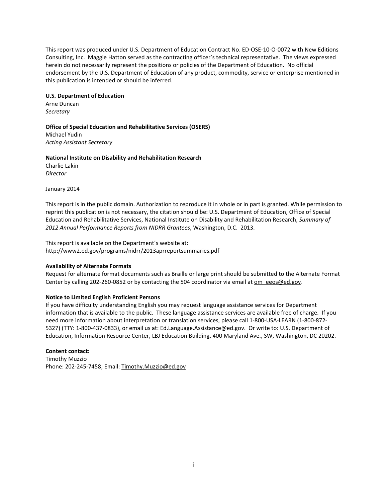This report was produced under U.S. Department of Education Contract No. ED-OSE-10-O-0072 with New Editions Consulting, Inc. Maggie Hatton served as the contracting officer's technical representative. The views expressed herein do not necessarily represent the positions or policies of the Department of Education. No official endorsement by the U.S. Department of Education of any product, commodity, service or enterprise mentioned in this publication is intended or should be inferred.

#### **U.S. Department of Education**

Arne Duncan *Secretary*

#### **Office of Special Education and Rehabilitative Services (OSERS)**

Michael Yudin *Acting Assistant Secretary*

**National Institute on Disability and Rehabilitation Research** Charlie Lakin *Director*

January 2014

This report is in the public domain. Authorization to reproduce it in whole or in part is granted. While permission to reprint this publication is not necessary, the citation should be: U.S. Department of Education, Office of Special Education and Rehabilitative Services, National Institute on Disability and Rehabilitation Research, *Summary of 2012 Annual Performance Reports from NIDRR Grantees*, Washington, D.C. 2013.

This report is available on the Department's website at: http://www2.ed.gov/programs/nidrr/2013aprreportsummaries.pdf

#### **Availability of Alternate Formats**

Request for alternate format documents such as Braille or large print should be submitted to the Alternate Format Center by calling 202-260-0852 or by contacting the 504 coordinator via email at om eeos@ed.gov.

#### **Notice to Limited English Proficient Persons**

If you have difficulty understanding English you may request language assistance services for Department information that is available to the public. These language assistance services are available free of charge. If you need more information about interpretation or translation services, please call 1-800-USA-LEARN (1-800-872- 5327) (TTY: 1-800-437-0833), or email us at: [Ed.Language.Assistance@ed.gov.](mailto:Ed.Language.Assistance@ed.gov) Or write to: U.S. Department of Education, Information Resource Center, LBJ Education Building, 400 Maryland Ave., SW, Washington, DC 20202.

#### **Content contact:**

Timothy Muzzio Phone: 202-245-7458; Email: Timothy.Muzzio@ed.gov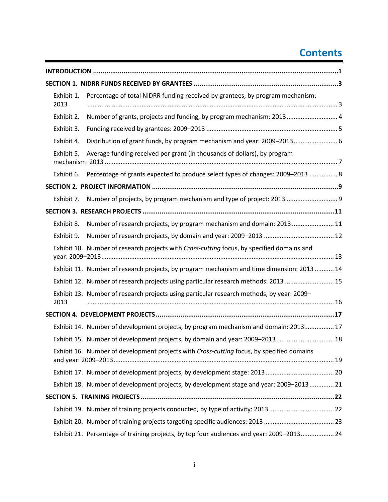## **Contents**

| Exhibit 1.<br>2013 | Percentage of total NIDRR funding received by grantees, by program mechanism:              |  |
|--------------------|--------------------------------------------------------------------------------------------|--|
| Exhibit 2.         | Number of grants, projects and funding, by program mechanism: 2013 4                       |  |
| Exhibit 3.         |                                                                                            |  |
| Exhibit 4.         | Distribution of grant funds, by program mechanism and year: 2009-2013 6                    |  |
| Exhibit 5.         | Average funding received per grant (in thousands of dollars), by program                   |  |
| Exhibit 6.         | Percentage of grants expected to produce select types of changes: 2009-2013  8             |  |
|                    |                                                                                            |  |
| Exhibit 7.         |                                                                                            |  |
|                    |                                                                                            |  |
| Exhibit 8.         | Number of research projects, by program mechanism and domain: 2013  11                     |  |
| Exhibit 9.         |                                                                                            |  |
|                    | Exhibit 10. Number of research projects with Cross-cutting focus, by specified domains and |  |
|                    | Exhibit 11. Number of research projects, by program mechanism and time dimension: 2013  14 |  |
|                    | Exhibit 12. Number of research projects using particular research methods: 2013  15        |  |
| 2013               | Exhibit 13. Number of research projects using particular research methods, by year: 2009–  |  |
|                    |                                                                                            |  |
|                    | Exhibit 14. Number of development projects, by program mechanism and domain: 2013 17       |  |
|                    | Exhibit 15. Number of development projects, by domain and year: 2009-2013 18               |  |
|                    | Exhibit 16. Number of development projects with Cross-cutting focus, by specified domains  |  |
|                    |                                                                                            |  |
|                    | Exhibit 18. Number of development projects, by development stage and year: 2009-2013 21    |  |
|                    |                                                                                            |  |
|                    | Exhibit 19. Number of training projects conducted, by type of activity: 201322             |  |
|                    | Exhibit 20. Number of training projects targeting specific audiences: 2013  23             |  |
|                    | Exhibit 21. Percentage of training projects, by top four audiences and year: 2009-2013 24  |  |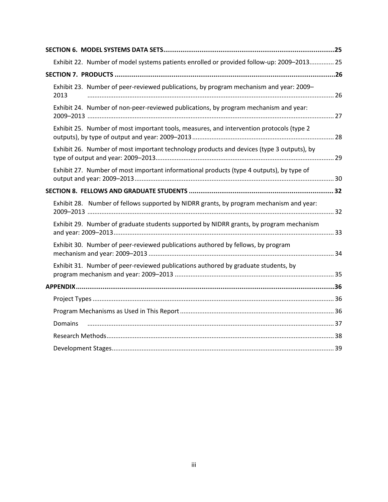| Exhibit 22. Number of model systems patients enrolled or provided follow-up: 2009-2013 25      |  |
|------------------------------------------------------------------------------------------------|--|
|                                                                                                |  |
| Exhibit 23. Number of peer-reviewed publications, by program mechanism and year: 2009-<br>2013 |  |
| Exhibit 24. Number of non-peer-reviewed publications, by program mechanism and year:           |  |
| Exhibit 25. Number of most important tools, measures, and intervention protocols (type 2       |  |
| Exhibit 26. Number of most important technology products and devices (type 3 outputs), by      |  |
| Exhibit 27. Number of most important informational products (type 4 outputs), by type of       |  |
|                                                                                                |  |
| Exhibit 28. Number of fellows supported by NIDRR grants, by program mechanism and year:        |  |
| Exhibit 29. Number of graduate students supported by NIDRR grants, by program mechanism        |  |
| Exhibit 30. Number of peer-reviewed publications authored by fellows, by program               |  |
| Exhibit 31. Number of peer-reviewed publications authored by graduate students, by             |  |
|                                                                                                |  |
|                                                                                                |  |
|                                                                                                |  |
| <b>Domains</b>                                                                                 |  |
|                                                                                                |  |
|                                                                                                |  |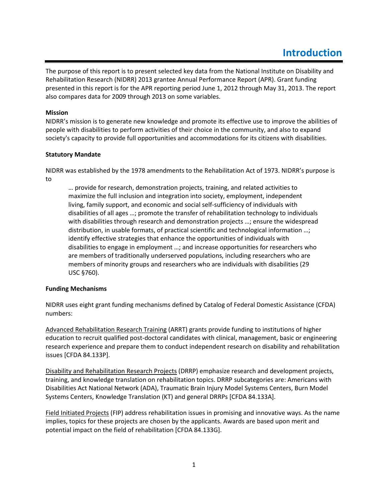## **Introduction**

<span id="page-4-0"></span>The purpose of this report is to present selected key data from the National Institute on Disability and Rehabilitation Research (NIDRR) 2013 grantee Annual Performance Report (APR). Grant funding presented in this report is for the APR reporting period June 1, 2012 through May 31, 2013. The report also compares data for 2009 through 2013 on some variables.

#### **Mission**

NIDRR's mission is to generate new knowledge and promote its effective use to improve the abilities of people with disabilities to perform activities of their choice in the community, and also to expand society's capacity to provide full opportunities and accommodations for its citizens with disabilities.

#### **Statutory Mandate**

NIDRR was established by the 1978 amendments to the Rehabilitation Act of 1973. NIDRR's purpose is to

… provide for research, demonstration projects, training, and related activities to maximize the full inclusion and integration into society, employment, independent living, family support, and economic and social self-sufficiency of individuals with disabilities of all ages …; promote the transfer of rehabilitation technology to individuals with disabilities through research and demonstration projects …; ensure the widespread distribution, in usable formats, of practical scientific and technological information …; identify effective strategies that enhance the opportunities of individuals with disabilities to engage in employment …; and increase opportunities for researchers who are members of traditionally underserved populations, including researchers who are members of minority groups and researchers who are individuals with disabilities (29 USC §760).

#### **Funding Mechanisms**

NIDRR uses eight grant funding mechanisms defined by Catalog of Federal Domestic Assistance (CFDA) numbers:

Advanced Rehabilitation Research Training (ARRT) grants provide funding to institutions of higher education to recruit qualified post-doctoral candidates with clinical, management, basic or engineering research experience and prepare them to conduct independent research on disability and rehabilitation issues [CFDA 84.133P].

Disability and Rehabilitation Research Projects (DRRP) emphasize research and development projects, training, and knowledge translation on rehabilitation topics. DRRP subcategories are: Americans with Disabilities Act National Network (ADA), Traumatic Brain Injury Model Systems Centers, Burn Model Systems Centers, Knowledge Translation (KT) and general DRRPs [CFDA 84.133A].

Field Initiated Projects (FIP) address rehabilitation issues in promising and innovative ways. As the name implies, topics for these projects are chosen by the applicants. Awards are based upon merit and potential impact on the field of rehabilitation [CFDA 84.133G].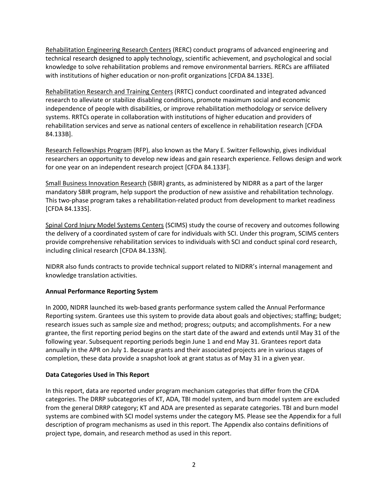Rehabilitation Engineering Research Centers (RERC) conduct programs of advanced engineering and technical research designed to apply technology, scientific achievement, and psychological and social knowledge to solve rehabilitation problems and remove environmental barriers. RERCs are affiliated with institutions of higher education or non-profit organizations [CFDA 84.133E].

Rehabilitation Research and Training Centers (RRTC) conduct coordinated and integrated advanced research to alleviate or stabilize disabling conditions, promote maximum social and economic independence of people with disabilities, or improve rehabilitation methodology or service delivery systems. RRTCs operate in collaboration with institutions of higher education and providers of rehabilitation services and serve as national centers of excellence in rehabilitation research [CFDA 84.133B].

Research Fellowships Program (RFP), also known as the Mary E. Switzer Fellowship, gives individual researchers an opportunity to develop new ideas and gain research experience. Fellows design and work for one year on an independent research project [CFDA 84.133F].

Small Business Innovation Research (SBIR) grants, as administered by NIDRR as a part of the larger mandatory SBIR program, help support the production of new assistive and rehabilitation technology. This two-phase program takes a rehabilitation-related product from development to market readiness [CFDA 84.133S].

Spinal Cord Injury Model Systems Centers (SCIMS) study the course of recovery and outcomes following the delivery of a coordinated system of care for individuals with SCI. Under this program, SCIMS centers provide comprehensive rehabilitation services to individuals with SCI and conduct spinal cord research, including clinical research [CFDA 84.133N].

NIDRR also funds contracts to provide technical support related to NIDRR's internal management and knowledge translation activities.

#### **Annual Performance Reporting System**

In 2000, NIDRR launched its web-based grants performance system called the Annual Performance Reporting system. Grantees use this system to provide data about goals and objectives; staffing; budget; research issues such as sample size and method; progress; outputs; and accomplishments. For a new grantee, the first reporting period begins on the start date of the award and extends until May 31 of the following year. Subsequent reporting periods begin June 1 and end May 31. Grantees report data annually in the APR on July 1. Because grants and their associated projects are in various stages of completion, these data provide a snapshot look at grant status as of May 31 in a given year.

#### **Data Categories Used in This Report**

In this report, data are reported under program mechanism categories that differ from the CFDA categories. The DRRP subcategories of KT, ADA, TBI model system, and burn model system are excluded from the general DRRP category; KT and ADA are presented as separate categories. TBI and burn model systems are combined with SCI model systems under the category MS. Please see the Appendix for a full description of program mechanisms as used in this report. The Appendix also contains definitions of project type, domain, and research method as used in this report.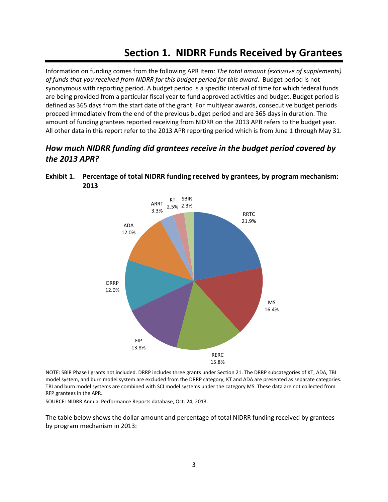## **Section 1. NIDRR Funds Received by Grantees**

<span id="page-6-0"></span>Information on funding comes from the following APR item: *The total amount (exclusive of supplements) of funds that you received from NIDRR for this budget period for this award*. Budget period is not synonymous with reporting period. A budget period is a specific interval of time for which federal funds are being provided from a particular fiscal year to fund approved activities and budget. Budget period is defined as 365 days from the start date of the grant. For multiyear awards, consecutive budget periods proceed immediately from the end of the previous budget period and are 365 days in duration. The amount of funding grantees reported receiving from NIDRR on the 2013 APR refers to the budget year. All other data in this report refer to the 2013 APR reporting period which is from June 1 through May 31.

## *How much NIDRR funding did grantees receive in the budget period covered by the 2013 APR?*



<span id="page-6-1"></span>**Exhibit 1. Percentage of total NIDRR funding received by grantees, by program mechanism: 2013** 

NOTE: SBIR Phase I grants not included. DRRP includes three grants under Section 21. The DRRP subcategories of KT, ADA, TBI model system, and burn model system are excluded from the DRRP category; KT and ADA are presented as separate categories. TBI and burn model systems are combined with SCI model systems under the category MS. These data are not collected from RFP grantees in the APR.

SOURCE: NIDRR Annual Performance Reports database, Oct. 24, 2013.

The table below shows the dollar amount and percentage of total NIDRR funding received by grantees by program mechanism in 2013: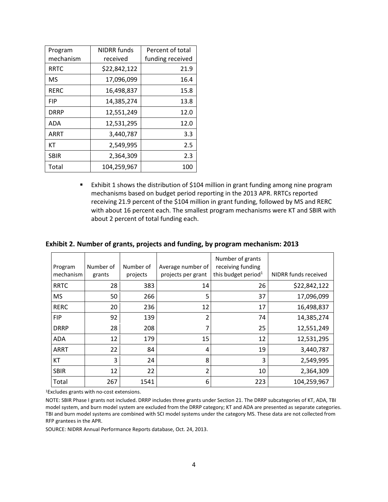| Program     | <b>NIDRR</b> funds | Percent of total |  |
|-------------|--------------------|------------------|--|
| mechanism   | received           | funding received |  |
| <b>RRTC</b> | \$22,842,122       | 21.9             |  |
| <b>MS</b>   | 17,096,099         | 16.4             |  |
| <b>RERC</b> | 16,498,837         | 15.8             |  |
| <b>FIP</b>  | 14,385,274         | 13.8             |  |
| <b>DRRP</b> | 12,551,249         | 12.0             |  |
| <b>ADA</b>  | 12,531,295         | 12.0             |  |
| <b>ARRT</b> | 3,440,787          | 3.3              |  |
| КT          | 2,549,995          | 2.5              |  |
| <b>SBIR</b> | 2,364,309          | 2.3              |  |
| Total       | 104,259,967        | 100              |  |

 Exhibit 1 shows the distribution of \$104 million in grant funding among nine program mechanisms based on budget period reporting in the 2013 APR. RRTCs reported receiving 21.9 percent of the \$104 million in grant funding, followed by MS and RERC with about 16 percent each. The smallest program mechanisms were KT and SBIR with about 2 percent of total funding each.

| Program<br>mechanism | Number of<br>grants | Number of<br>projects | Average number of<br>projects per grant | Number of grants<br>receiving funding<br>this budget period <sup>1</sup> | NIDRR funds received |
|----------------------|---------------------|-----------------------|-----------------------------------------|--------------------------------------------------------------------------|----------------------|
| <b>RRTC</b>          | 28                  | 383                   | 14                                      | 26                                                                       | \$22,842,122         |
| <b>MS</b>            | 50                  | 266                   | 5                                       | 37                                                                       | 17,096,099           |
| <b>RERC</b>          | 20                  | 236                   | 12                                      | 17                                                                       | 16,498,837           |
| <b>FIP</b>           | 92                  | 139                   | 2                                       | 74                                                                       | 14,385,274           |
| <b>DRRP</b>          | 28                  | 208                   | 7                                       | 25                                                                       | 12,551,249           |
| ADA                  | 12                  | 179                   | 15                                      | 12                                                                       | 12,531,295           |
| <b>ARRT</b>          | 22                  | 84                    | 4                                       | 19                                                                       | 3,440,787            |
| КT                   | 3                   | 24                    | 8                                       | 3                                                                        | 2,549,995            |
| <b>SBIR</b>          | 12                  | 22                    | 2                                       | 10                                                                       | 2,364,309            |
| Total                | 267                 | 1541                  | 6                                       | 223                                                                      | 104,259,967          |

#### <span id="page-7-0"></span>**Exhibit 2. Number of grants, projects and funding, by program mechanism: 2013**

1Excludes grants with no-cost extensions.

NOTE: SBIR Phase I grants not included. DRRP includes three grants under Section 21. The DRRP subcategories of KT, ADA, TBI model system, and burn model system are excluded from the DRRP category; KT and ADA are presented as separate categories. TBI and burn model systems are combined with SCI model systems under the category MS. These data are not collected from RFP grantees in the APR.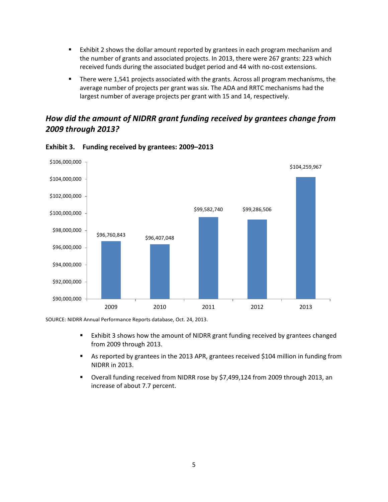- **EXHIDIOUT 2** shows the dollar amount reported by grantees in each program mechanism and the number of grants and associated projects. In 2013, there were 267 grants: 223 which received funds during the associated budget period and 44 with no-cost extensions.
- **There were 1,541 projects associated with the grants. Across all program mechanisms, the** average number of projects per grant was six. The ADA and RRTC mechanisms had the largest number of average projects per grant with 15 and 14, respectively.

## *How did the amount of NIDRR grant funding received by grantees change from 2009 through 2013?*



<span id="page-8-0"></span>**Exhibit 3. Funding received by grantees: 2009–2013** 

- Exhibit 3 shows how the amount of NIDRR grant funding received by grantees changed from 2009 through 2013.
- As reported by grantees in the 2013 APR, grantees received \$104 million in funding from NIDRR in 2013.
- Overall funding received from NIDRR rose by \$7,499,124 from 2009 through 2013, an increase of about 7.7 percent.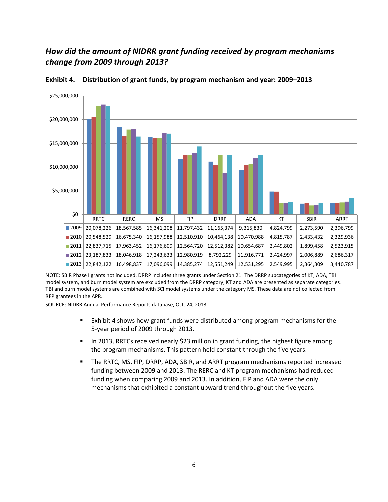## *How did the amount of NIDRR grant funding received by program mechanisms change from 2009 through 2013?*



<span id="page-9-0"></span>**Exhibit 4. Distribution of grant funds, by program mechanism and year: 2009–2013** 

NOTE: SBIR Phase I grants not included. DRRP includes three grants under Section 21. The DRRP subcategories of KT, ADA, TBI model system, and burn model system are excluded from the DRRP category; KT and ADA are presented as separate categories. TBI and burn model systems are combined with SCI model systems under the category MS. These data are not collected from RFP grantees in the APR.

- Exhibit 4 shows how grant funds were distributed among program mechanisms for the 5-year period of 2009 through 2013.
- **IFM** 1013, RRTCs received nearly \$23 million in grant funding, the highest figure among the program mechanisms. This pattern held constant through the five years.
- The RRTC, MS, FIP, DRRP, ADA, SBIR, and ARRT program mechanisms reported increased funding between 2009 and 2013. The RERC and KT program mechanisms had reduced funding when comparing 2009 and 2013. In addition, FIP and ADA were the only mechanisms that exhibited a constant upward trend throughout the five years.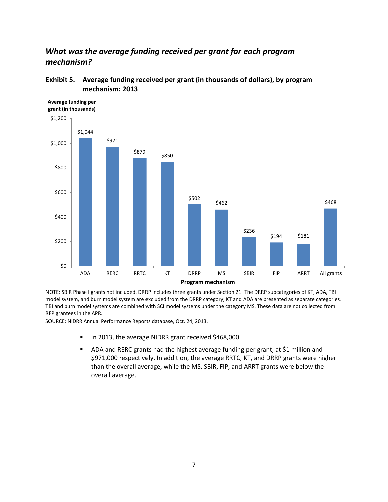## *What was the average funding received per grant for each program mechanism?*



#### <span id="page-10-0"></span>**Exhibit 5. Average funding received per grant (in thousands of dollars), by program mechanism: 2013**

NOTE: SBIR Phase I grants not included. DRRP includes three grants under Section 21. The DRRP subcategories of KT, ADA, TBI model system, and burn model system are excluded from the DRRP category; KT and ADA are presented as separate categories. TBI and burn model systems are combined with SCI model systems under the category MS. These data are not collected from RFP grantees in the APR.

- In 2013, the average NIDRR grant received \$468,000.
- ADA and RERC grants had the highest average funding per grant, at \$1 million and \$971,000 respectively. In addition, the average RRTC, KT, and DRRP grants were higher than the overall average, while the MS, SBIR, FIP, and ARRT grants were below the overall average.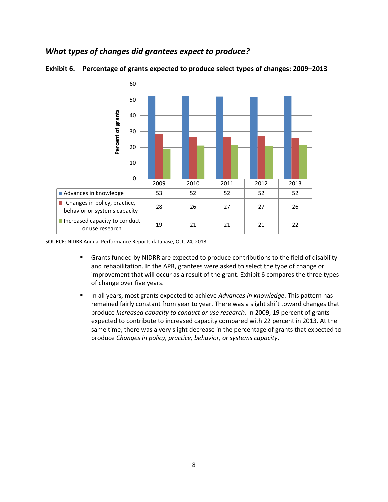## *What types of changes did grantees expect to produce?*



<span id="page-11-0"></span>**Exhibit 6. Percentage of grants expected to produce select types of changes: 2009–2013** 

- Grants funded by NIDRR are expected to produce contributions to the field of disability and rehabilitation. In the APR, grantees were asked to select the type of change or improvement that will occur as a result of the grant. Exhibit 6 compares the three types of change over five years.
- **IFMED 10** In all years, most grants expected to achieve *Advances in knowledge*. This pattern has remained fairly constant from year to year. There was a slight shift toward changes that produce *Increased capacity to conduct or use research*. In 2009, 19 percent of grants expected to contribute to increased capacity compared with 22 percent in 2013. At the same time, there was a very slight decrease in the percentage of grants that expected to produce *Changes in policy, practice, behavior, or systems capacity*.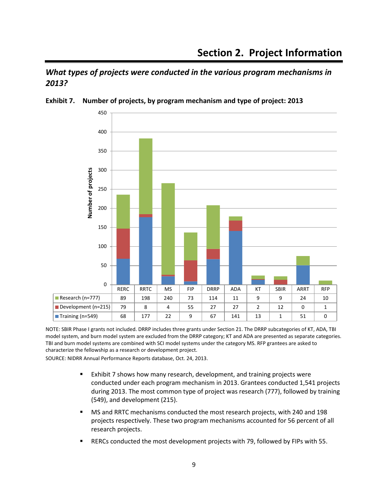## <span id="page-12-0"></span>*What types of projects were conducted in the various program mechanisms in 2013?*



#### <span id="page-12-1"></span>**Exhibit 7. Number of projects, by program mechanism and type of project: 2013**

NOTE: SBIR Phase I grants not included. DRRP includes three grants under Section 21. The DRRP subcategories of KT, ADA, TBI model system, and burn model system are excluded from the DRRP category; KT and ADA are presented as separate categories. TBI and burn model systems are combined with SCI model systems under the category MS. RFP grantees are asked to characterize the fellowship as a research or development project.

- Exhibit 7 shows how many research, development, and training projects were conducted under each program mechanism in 2013. Grantees conducted 1,541 projects during 2013. The most common type of project was research (777), followed by training (549), and development (215).
- MS and RRTC mechanisms conducted the most research projects, with 240 and 198 projects respectively. These two program mechanisms accounted for 56 percent of all research projects.
- RERCs conducted the most development projects with 79, followed by FIPs with 55.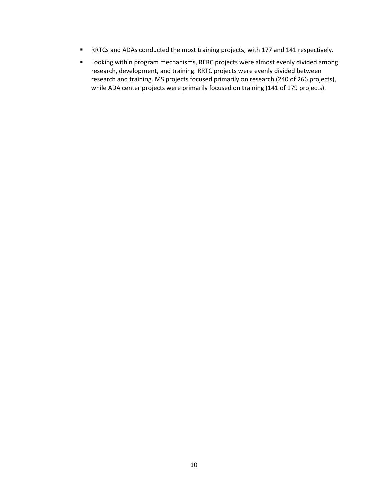- RRTCs and ADAs conducted the most training projects, with 177 and 141 respectively.
- **•** Looking within program mechanisms, RERC projects were almost evenly divided among research, development, and training. RRTC projects were evenly divided between research and training. MS projects focused primarily on research (240 of 266 projects), while ADA center projects were primarily focused on training (141 of 179 projects).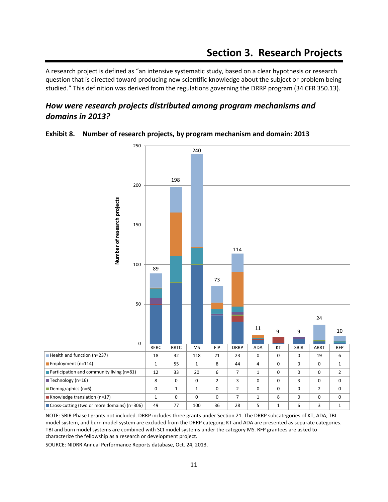<span id="page-14-0"></span>A research project is defined as "an intensive systematic study, based on a clear hypothesis or research question that is directed toward producing new scientific knowledge about the subject or problem being studied." This definition was derived from the regulations governing the DRRP program (34 CFR 350.13).

## *How were research projects distributed among program mechanisms and domains in 2013?*



<span id="page-14-1"></span>**Exhibit 8. Number of research projects, by program mechanism and domain: 2013** 

NOTE: SBIR Phase I grants not included. DRRP includes three grants under Section 21. The DRRP subcategories of KT, ADA, TBI model system, and burn model system are excluded from the DRRP category; KT and ADA are presented as separate categories. TBI and burn model systems are combined with SCI model systems under the category MS. RFP grantees are asked to characterize the fellowship as a research or development project.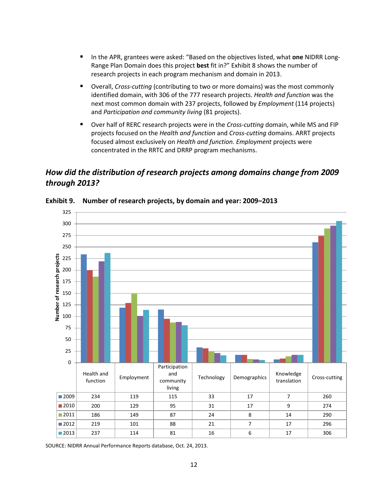- In the APR, grantees were asked: "Based on the objectives listed, what **one** NIDRR Long-Range Plan Domain does this project **best** fit in?" Exhibit 8 shows the number of research projects in each program mechanism and domain in 2013.
- Overall, *Cross-cutting* (contributing to two or more domains) was the most commonly identified domain, with 306 of the 777 research projects. *Health and function* was the next most common domain with 237 projects, followed by *Employment* (114 projects) and *Participation and community living* (81 projects).
- Over half of RERC research projects were in the *Cross-cutting* domain, while MS and FIP projects focused on the *Health and function* and *Cross-cutting* domains. ARRT projects focused almost exclusively on *Health and function. Employment* projects were concentrated in the RRTC and DRRP program mechanisms.

## *How did the distribution of research projects among domains change from 2009 through 2013?*



<span id="page-15-0"></span>**Exhibit 9. Number of research projects, by domain and year: 2009–2013**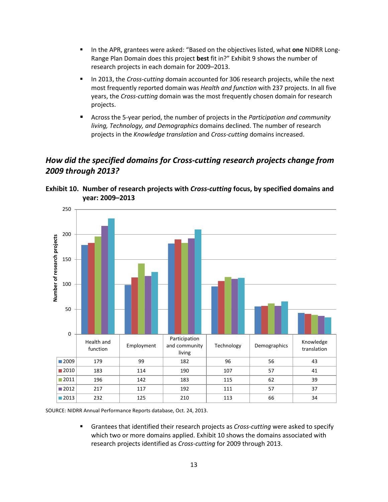- In the APR, grantees were asked: "Based on the objectives listed, what **one** NIDRR Long-Range Plan Domain does this project **best** fit in?" Exhibit 9 shows the number of research projects in each domain for 2009–2013.
- **IFM** 1013, the *Cross-cutting* domain accounted for 306 research projects, while the next most frequently reported domain was *Health and function* with 237 projects. In all five years, the *Cross-cutting* domain was the most frequently chosen domain for research projects.
- Across the 5-year period, the number of projects in the *Participation and community living, Technology, and Demographics* domains declined. The number of research projects in the *Knowledge translation* and *Cross-cutting* domains increased.

## *How did the specified domains for Cross-cutting research projects change from 2009 through 2013?*



<span id="page-16-0"></span>**Exhibit 10. Number of research projects with** *Cross-cutting* **focus, by specified domains and year: 2009–2013** 

SOURCE: NIDRR Annual Performance Reports database, Oct. 24, 2013.

 Grantees that identified their research projects as *Cross-cutting* were asked to specify which two or more domains applied. Exhibit 10 shows the domains associated with research projects identified as *Cross-cutting* for 2009 through 2013.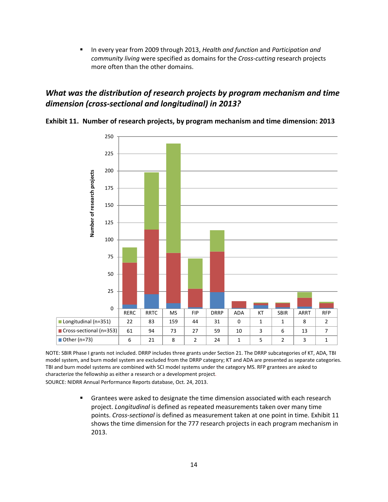In every year from 2009 through 2013, *Health and function* and *Participation and community living* were specified as domains for the *Cross-cutting* research projects more often than the other domains.

## *What was the distribution of research projects by program mechanism and time dimension (cross-sectional and longitudinal) in 2013?*



<span id="page-17-0"></span>**Exhibit 11. Number of research projects, by program mechanism and time dimension: 2013** 

NOTE: SBIR Phase I grants not included. DRRP includes three grants under Section 21. The DRRP subcategories of KT, ADA, TBI model system, and burn model system are excluded from the DRRP category; KT and ADA are presented as separate categories. TBI and burn model systems are combined with SCI model systems under the category MS. RFP grantees are asked to characterize the fellowship as either a research or a development project. SOURCE: NIDRR Annual Performance Reports database, Oct. 24, 2013.

> Grantees were asked to designate the time dimension associated with each research project. *Longitudinal* is defined as repeated measurements taken over many time points. *Cross-sectional* is defined as measurement taken at one point in time. Exhibit 11 shows the time dimension for the 777 research projects in each program mechanism in 2013.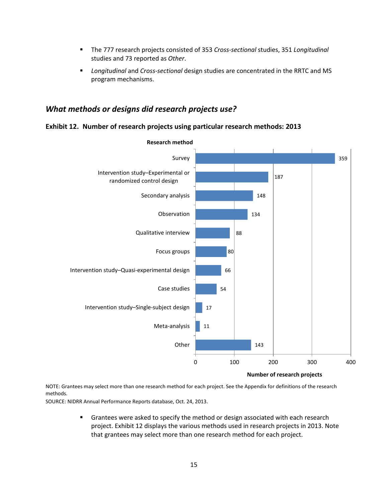- The 777 research projects consisted of 353 *Cross-sectional* studies, 351 *Longitudinal* studies and 73 reported as *Other*.
- *Longitudinal* and *Cross-sectional* design studies are concentrated in the RRTC and MS program mechanisms.

#### *What methods or designs did research projects use?*

#### <span id="page-18-0"></span>**Exhibit 12. Number of research projects using particular research methods: 2013**



**Research method**

**Number of research projects**

NOTE: Grantees may select more than one research method for each project. See the Appendix for definitions of the research methods.

SOURCE: NIDRR Annual Performance Reports database, Oct. 24, 2013.

 Grantees were asked to specify the method or design associated with each research project. Exhibit 12 displays the various methods used in research projects in 2013. Note that grantees may select more than one research method for each project.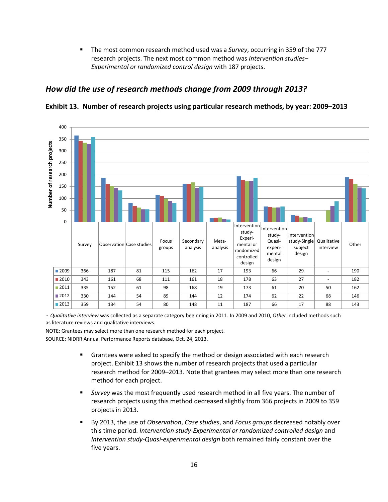The most common research method used was a *Survey*, occurring in 359 of the 777 research projects. The next most common method was *Intervention studies– Experimental or randomized control design* with 187 projects.

## *How did the use of research methods change from 2009 through 2013?*

<span id="page-19-0"></span>**Exhibit 13. Number of research projects using particular research methods, by year: 2009–2013**



- *Qualitative interview* was collected as a separate category beginning in 2011. In 2009 and 2010, *Other* included methods such as literature reviews and qualitative interviews.

NOTE: Grantees may select more than one research method for each project.

- **F** Grantees were asked to specify the method or design associated with each research project. Exhibit 13 shows the number of research projects that used a particular research method for 2009–2013. Note that grantees may select more than one research method for each project.
- *Survey* was the most frequently used research method in all five years. The number of research projects using this method decreased slightly from 366 projects in 2009 to 359 projects in 2013.
- By 2013, the use of *Observation*, *Case studies*, and *Focus groups* decreased notably over this time period. *Intervention study-Experimental or randomized controlled design* and *Intervention study-Quasi-experimental design* both remained fairly constant over the five years.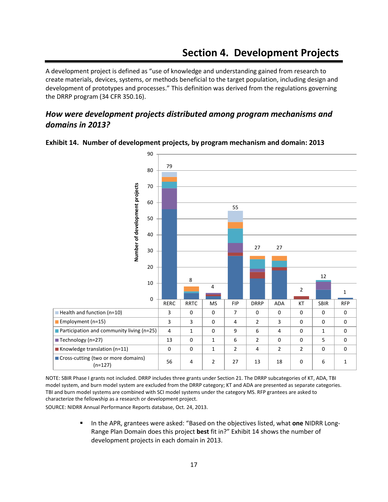<span id="page-20-0"></span>A development project is defined as "use of knowledge and understanding gained from research to create materials, devices, systems, or methods beneficial to the target population, including design and development of prototypes and processes." This definition was derived from the regulations governing the DRRP program (34 CFR 350.16).

## *How were development projects distributed among program mechanisms and domains in 2013?*



#### <span id="page-20-1"></span>**Exhibit 14. Number of development projects, by program mechanism and domain: 2013**

NOTE: SBIR Phase I grants not included. DRRP includes three grants under Section 21. The DRRP subcategories of KT, ADA, TBI model system, and burn model system are excluded from the DRRP category; KT and ADA are presented as separate categories. TBI and burn model systems are combined with SCI model systems under the category MS. RFP grantees are asked to characterize the fellowship as a research or development project.

SOURCE: NIDRR Annual Performance Reports database, Oct. 24, 2013.

**IFMUARE:** In the APR, grantees were asked: "Based on the objectives listed, what **one** NIDRR Long-Range Plan Domain does this project **best** fit in?" Exhibit 14 shows the number of development projects in each domain in 2013.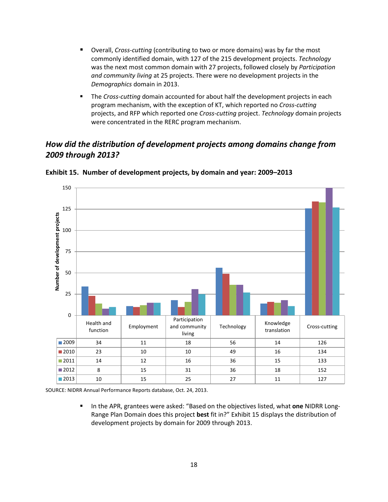- Overall, *Cross-cutting* (contributing to two or more domains) was by far the most commonly identified domain, with 127 of the 215 development projects. *Technology* was the next most common domain with 27 projects, followed closely by *Participation and community living* at 25 projects. There were no development projects in the *Demographics* domain in 2013.
- The *Cross-cutting* domain accounted for about half the development projects in each program mechanism, with the exception of KT, which reported no *Cross-cutting* projects, and RFP which reported one *Cross-cutting* project. *Technology* domain projects were concentrated in the RERC program mechanism.

## *How did the distribution of development projects among domains change from 2009 through 2013?*



<span id="page-21-0"></span>**Exhibit 15. Number of development projects, by domain and year: 2009–2013** 

SOURCE: NIDRR Annual Performance Reports database, Oct. 24, 2013.

**IFMULTHE APR, grantees were asked: "Based on the objectives listed, what one NIDRR Long-**Range Plan Domain does this project **best** fit in?" Exhibit 15 displays the distribution of development projects by domain for 2009 through 2013.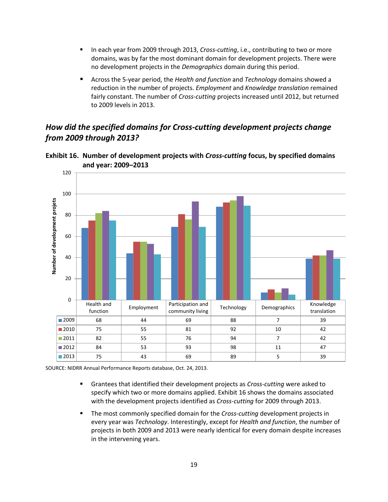- In each year from 2009 through 2013, *Cross-cutting*, i.e., contributing to two or more domains, was by far the most dominant domain for development projects. There were no development projects in the *Demographics* domain during this period.
- Across the 5-year period, the *Health and function* and *Technology* domains showed a reduction in the number of projects. *Employment* and *Knowledge translation* remained fairly constant. The number of *Cross-cutting* projects increased until 2012, but returned to 2009 levels in 2013.

## *How did the specified domains for Cross-cutting development projects change from 2009 through 2013?*

<span id="page-22-0"></span>



- Grantees that identified their development projects as *Cross-cutting* were asked to specify which two or more domains applied. Exhibit 16 shows the domains associated with the development projects identified as *Cross-cutting* for 2009 through 2013.
- The most commonly specified domain for the *Cross-cutting* development projects in every year was *Technology*. Interestingly, except for *Health and function*, the number of projects in both 2009 and 2013 were nearly identical for every domain despite increases in the intervening years.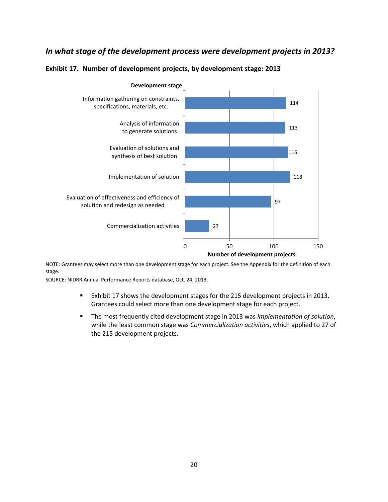### *In what stage of the development process were development projects in 2013?*

<span id="page-23-0"></span>



**Development stage**

NOTE: Grantees may select more than one development stage for each project. See the Appendix for the definition of each stage.

- Exhibit 17 shows the development stages for the 215 development projects in 2013. Grantees could select more than one development stage for each project.
- The most frequently cited development stage in 2013 was *Implementation of solution*, while the least common stage was *Commercialization activities*, which applied to 27 of the 215 development projects.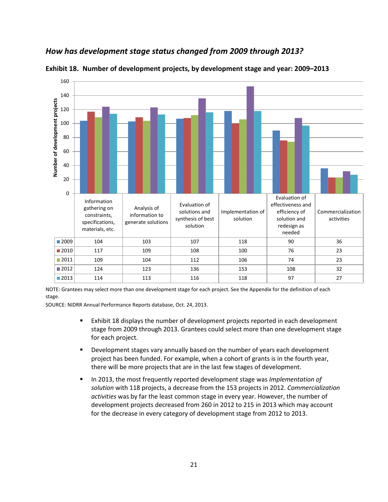## *How has development stage status changed from 2009 through 2013?*



<span id="page-24-0"></span>**Exhibit 18. Number of development projects, by development stage and year: 2009–2013** 

NOTE: Grantees may select more than one development stage for each project. See the Appendix for the definition of each stage.

- Exhibit 18 displays the number of development projects reported in each development stage from 2009 through 2013. Grantees could select more than one development stage for each project.
- **Development stages vary annually based on the number of years each development** project has been funded. For example, when a cohort of grants is in the fourth year, there will be more projects that are in the last few stages of development.
- In 2013, the most frequently reported development stage was *Implementation of solution* with 118 projects, a decrease from the 153 projects in 2012. *Commercialization activities* was by far the least common stage in every year. However, the number of development projects decreased from 260 in 2012 to 215 in 2013 which may account for the decrease in every category of development stage from 2012 to 2013.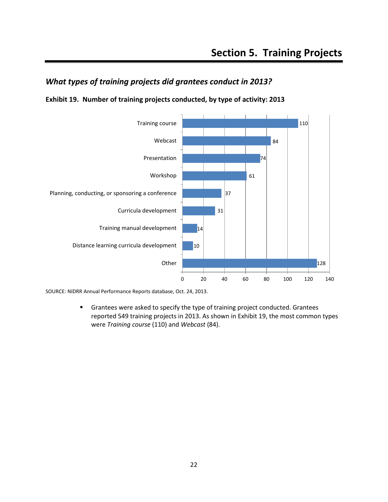## <span id="page-25-0"></span>*What types of training projects did grantees conduct in 2013?*

<span id="page-25-1"></span>**Exhibit 19. Number of training projects conducted, by type of activity: 2013** 



SOURCE: NIDRR Annual Performance Reports database, Oct. 24, 2013.

**F** Grantees were asked to specify the type of training project conducted. Grantees reported 549 training projects in 2013. As shown in Exhibit 19, the most common types were *Training course* (110) and *Webcast* (84).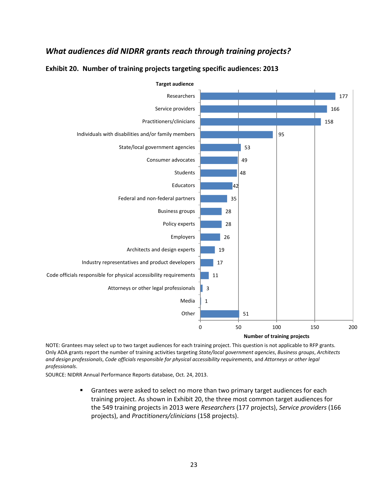## *What audiences did NIDRR grants reach through training projects?*



#### <span id="page-26-0"></span>**Exhibit 20. Number of training projects targeting specific audiences: 2013**

NOTE: Grantees may select up to two target audiences for each training project. This question is not applicable to RFP grants. Only ADA grants report the number of training activities targeting *State/local government agencies*, *Business groups*, *Architects and design professionals*, *Code officials responsible for physical accessibility requirements*, and *Attorneys or other legal professionals*.

SOURCE: NIDRR Annual Performance Reports database, Oct. 24, 2013.

 Grantees were asked to select no more than two primary target audiences for each training project. As shown in Exhibit 20, the three most common target audiences for the 549 training projects in 2013 were *Researchers* (177 projects), *Service providers* (166 projects), and *Practitioners/clinicians* (158 projects).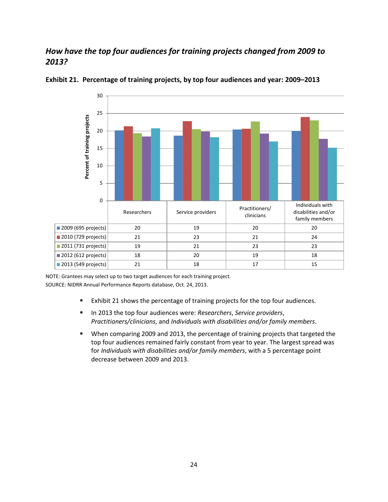## *How have the top four audiences for training projects changed from 2009 to 2013?*



#### <span id="page-27-0"></span>**Exhibit 21. Percentage of training projects, by top four audiences and year: 2009–2013**

NOTE: Grantees may select up to two target audiences for each training project. SOURCE: NIDRR Annual Performance Reports database, Oct. 24, 2013.

- Exhibit 21 shows the percentage of training projects for the top four audiences.
- In 2013 the top four audiences were: *Researchers*, *Service providers*, *Practitioners/clinicians*, and *Individuals with disabilities and/or family members*.
- When comparing 2009 and 2013, the percentage of training projects that targeted the top four audiences remained fairly constant from year to year. The largest spread was for *Individuals with disabilities and/or family members*, with a 5 percentage point decrease between 2009 and 2013.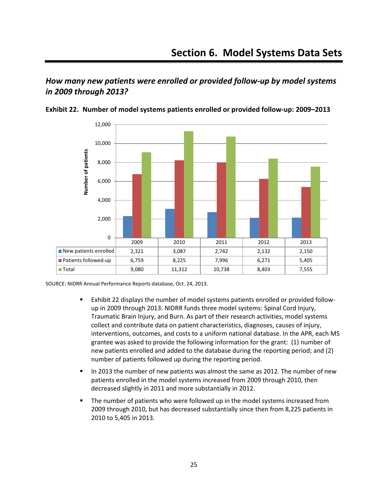## <span id="page-28-0"></span>*How many new patients were enrolled or provided follow-up by model systems in 2009 through 2013?*



<span id="page-28-1"></span>**Exhibit 22. Number of model systems patients enrolled or provided follow-up: 2009–2013** 

- Exhibit 22 displays the number of model systems patients enrolled or provided followup in 2009 through 2013. NIDRR funds three model systems: Spinal Cord Injury, Traumatic Brain Injury, and Burn. As part of their research activities, model systems collect and contribute data on patient characteristics, diagnoses, causes of injury, interventions, outcomes, and costs to a uniform national database. In the APR, each MS grantee was asked to provide the following information for the grant: (1) number of new patients enrolled and added to the database during the reporting period; and (2) number of patients followed up during the reporting period.
- In 2013 the number of new patients was almost the same as 2012. The number of new patients enrolled in the model systems increased from 2009 through 2010, then decreased slightly in 2011 and more substantially in 2012.
- The number of patients who were followed up in the model systems increased from 2009 through 2010, but has decreased substantially since then from 8,225 patients in 2010 to 5,405 in 2013.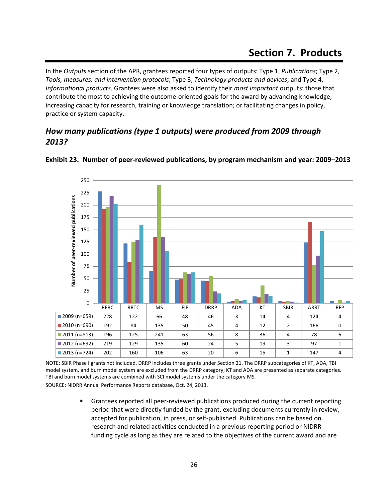<span id="page-29-0"></span>In the *Outputs* section of the APR, grantees reported four types of outputs: Type 1, *Publications*; Type 2, *Tools, measures, and intervention protocols*; Type 3, *Technology products and devices*; and Type 4, *Informational products*. Grantees were also asked to identify their *most important* outputs: those that contribute the most to achieving the outcome-oriented goals for the award by advancing knowledge; increasing capacity for research, training or knowledge translation; or facilitating changes in policy, practice or system capacity.

## *How many publications (type 1 outputs) were produced from 2009 through 2013?*



#### <span id="page-29-1"></span>**Exhibit 23. Number of peer-reviewed publications, by program mechanism and year: 2009–2013**

NOTE: SBIR Phase I grants not included. DRRP includes three grants under Section 21. The DRRP subcategories of KT, ADA, TBI model system, and burn model system are excluded from the DRRP category; KT and ADA are presented as separate categories. TBI and burn model systems are combined with SCI model systems under the category MS. SOURCE: NIDRR Annual Performance Reports database, Oct. 24, 2013.

 Grantees reported all peer-reviewed publications produced during the current reporting period that were directly funded by the grant, excluding documents currently in review, accepted for publication, in press, or self-published. Publications can be based on research and related activities conducted in a previous reporting period or NIDRR funding cycle as long as they are related to the objectives of the current award and are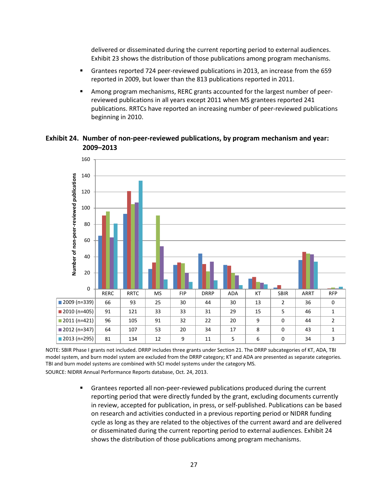delivered or disseminated during the current reporting period to external audiences. Exhibit 23 shows the distribution of those publications among program mechanisms.

- Grantees reported 724 peer-reviewed publications in 2013, an increase from the 659 reported in 2009, but lower than the 813 publications reported in 2011.
- Among program mechanisms, RERC grants accounted for the largest number of peerreviewed publications in all years except 2011 when MS grantees reported 241 publications. RRTCs have reported an increasing number of peer-reviewed publications beginning in 2010.

#### <span id="page-30-0"></span>**Exhibit 24. Number of non-peer-reviewed publications, by program mechanism and year: 2009–2013**



NOTE: SBIR Phase I grants not included. DRRP includes three grants under Section 21. The DRRP subcategories of KT, ADA, TBI model system, and burn model system are excluded from the DRRP category; KT and ADA are presented as separate categories. TBI and burn model systems are combined with SCI model systems under the category MS. SOURCE: NIDRR Annual Performance Reports database, Oct. 24, 2013.

> Grantees reported all non-peer-reviewed publications produced during the current reporting period that were directly funded by the grant, excluding documents currently in review, accepted for publication, in press, or self-published. Publications can be based on research and activities conducted in a previous reporting period or NIDRR funding cycle as long as they are related to the objectives of the current award and are delivered or disseminated during the current reporting period to external audiences. Exhibit 24 shows the distribution of those publications among program mechanisms.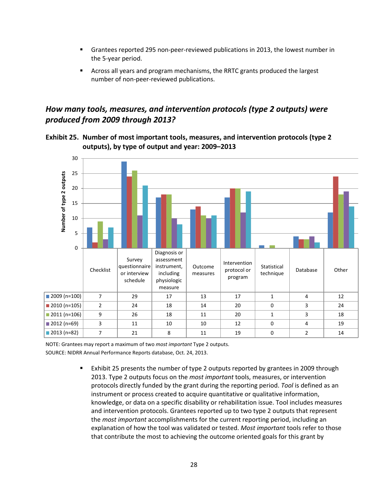- Grantees reported 295 non-peer-reviewed publications in 2013, the lowest number in the 5-year period.
- Across all years and program mechanisms, the RRTC grants produced the largest number of non-peer-reviewed publications.

## *How many tools, measures, and intervention protocols (type 2 outputs) were produced from 2009 through 2013?*

<span id="page-31-0"></span>



NOTE: Grantees may report a maximum of two *most important* Type 2 outputs. SOURCE: NIDRR Annual Performance Reports database, Oct. 24, 2013.

> Exhibit 25 presents the number of type 2 outputs reported by grantees in 2009 through 2013. Type 2 outputs focus on the *most important* tools, measures, or intervention protocols directly funded by the grant during the reporting period. *Tool* is defined as an instrument or process created to acquire quantitative or qualitative information, knowledge, or data on a specific disability or rehabilitation issue. Tool includes measures and intervention protocols. Grantees reported up to two type 2 outputs that represent the *most important* accomplishments for the current reporting period, including an explanation of how the tool was validated or tested. *Most important* tools refer to those that contribute the most to achieving the outcome oriented goals for this grant by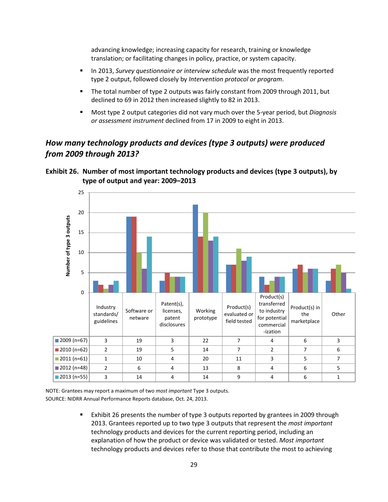advancing knowledge; increasing capacity for research, training or knowledge translation; or facilitating changes in policy, practice, or system capacity.

- **IDED 13. Survey questionnaire or interview schedule was the most frequently reported** type 2 output, followed closely by *Intervention protocol or program*.
- The total number of type 2 outputs was fairly constant from 2009 through 2011, but declined to 69 in 2012 then increased slightly to 82 in 2013.
- Most type 2 output categories did not vary much over the 5-year period, but *Diagnosis or assessment instrument* declined from 17 in 2009 to eight in 2013.

## *How many technology products and devices (type 3 outputs) were produced from 2009 through 2013?*

<span id="page-32-0"></span>



NOTE: Grantees may report a maximum of two *most important* Type 3 outputs. SOURCE: NIDRR Annual Performance Reports database, Oct. 24, 2013.

> Exhibit 26 presents the number of type 3 outputs reported by grantees in 2009 through 2013. Grantees reported up to two type 3 outputs that represent the *most important* technology products and devices for the current reporting period, including an explanation of how the product or device was validated or tested. *Most important* technology products and devices refer to those that contribute the most to achieving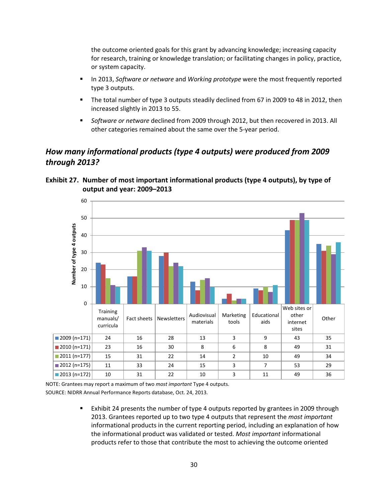the outcome oriented goals for this grant by advancing knowledge; increasing capacity for research, training or knowledge translation; or facilitating changes in policy, practice, or system capacity.

- **IFM** 1013, *Software or netware* and *Working prototype* were the most frequently reported type 3 outputs.
- The total number of type 3 outputs steadily declined from 67 in 2009 to 48 in 2012, then increased slightly in 2013 to 55.
- *Software or netware* declined from 2009 through 2012, but then recovered in 2013. All other categories remained about the same over the 5-year period.

## *How many informational products (type 4 outputs) were produced from 2009 through 2013?*



<span id="page-33-0"></span>**Exhibit 27. Number of most important informational products (type 4 outputs), by type of output and year: 2009–2013** 

NOTE: Grantees may report a maximum of two *most important* Type 4 outputs. SOURCE: NIDRR Annual Performance Reports database, Oct. 24, 2013.

> Exhibit 24 presents the number of type 4 outputs reported by grantees in 2009 through 2013. Grantees reported up to two type 4 outputs that represent the *most important* informational products in the current reporting period, including an explanation of how the informational product was validated or tested. *Most important* informational products refer to those that contribute the most to achieving the outcome oriented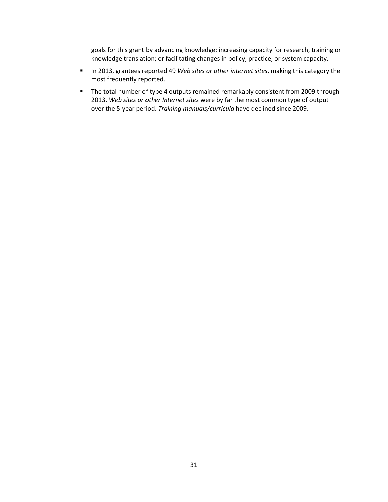goals for this grant by advancing knowledge; increasing capacity for research, training or knowledge translation; or facilitating changes in policy, practice, or system capacity.

- In 2013, grantees reported 49 *Web sites or other internet sites*, making this category the most frequently reported.
- The total number of type 4 outputs remained remarkably consistent from 2009 through 2013. *Web sites or other Internet sites* were by far the most common type of output over the 5-year period. *Training manuals/curricula* have declined since 2009.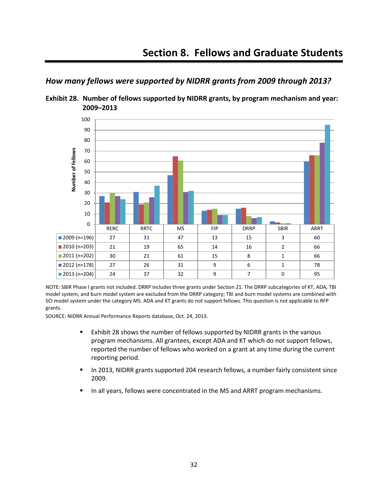<span id="page-35-0"></span>



<span id="page-35-1"></span>**Exhibit 28. Number of fellows supported by NIDRR grants, by program mechanism and year: 2009–2013** 

NOTE: SBIR Phase I grants not included. DRRP includes three grants under Section 21. The DRRP subcategories of KT, ADA, TBI model system, and burn model system are excluded from the DRRP category; TBI and burn model systems are combined with SCI model system under the category MS. ADA and KT grants do not support fellows. This question is not applicable to RFP grants.

- Exhibit 28 shows the number of fellows supported by NIDRR grants in the various program mechanisms. All grantees, except ADA and KT which do not support fellows, reported the number of fellows who worked on a grant at any time during the current reporting period.
- In 2013, NIDRR grants supported 204 research fellows, a number fairly consistent since 2009.
- In all years, fellows were concentrated in the MS and ARRT program mechanisms.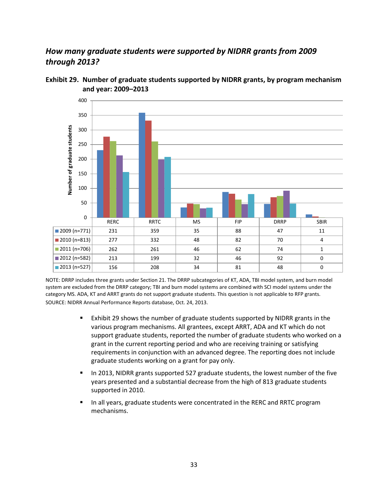## *How many graduate students were supported by NIDRR grants from 2009 through 2013?*



<span id="page-36-0"></span>**Exhibit 29. Number of graduate students supported by NIDRR grants, by program mechanism and year: 2009–2013** 

NOTE: DRRP includes three grants under Section 21. The DRRP subcategories of KT, ADA, TBI model system, and burn model system are excluded from the DRRP category; TBI and burn model systems are combined with SCI model systems under the category MS. ADA, KT and ARRT grants do not support graduate students. This question is not applicable to RFP grants. SOURCE: NIDRR Annual Performance Reports database, Oct. 24, 2013.

- Exhibit 29 shows the number of graduate students supported by NIDRR grants in the various program mechanisms. All grantees, except ARRT, ADA and KT which do not support graduate students, reported the number of graduate students who worked on a grant in the current reporting period and who are receiving training or satisfying requirements in conjunction with an advanced degree. The reporting does not include graduate students working on a grant for pay only.
- In 2013, NIDRR grants supported 527 graduate students, the lowest number of the five years presented and a substantial decrease from the high of 813 graduate students supported in 2010.
- In all years, graduate students were concentrated in the RERC and RRTC program mechanisms.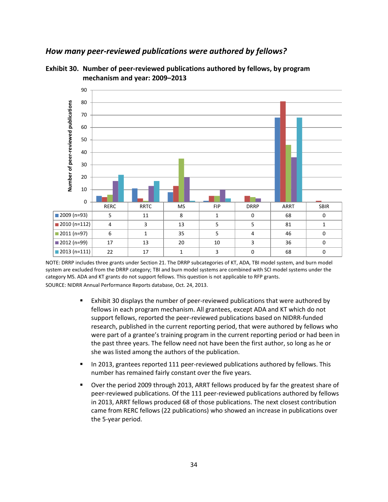#### *How many peer-reviewed publications were authored by fellows?*



<span id="page-37-0"></span>**Exhibit 30. Number of peer-reviewed publications authored by fellows, by program mechanism and year: 2009–2013** 

NOTE: DRRP includes three grants under Section 21. The DRRP subcategories of KT, ADA, TBI model system, and burn model system are excluded from the DRRP category; TBI and burn model systems are combined with SCI model systems under the category MS. ADA and KT grants do not support fellows. This question is not applicable to RFP grants. SOURCE: NIDRR Annual Performance Reports database, Oct. 24, 2013.

- Exhibit 30 displays the number of peer-reviewed publications that were authored by fellows in each program mechanism. All grantees, except ADA and KT which do not support fellows, reported the peer-reviewed publications based on NIDRR-funded research, published in the current reporting period, that were authored by fellows who were part of a grantee's training program in the current reporting period or had been in the past three years. The fellow need not have been the first author, so long as he or she was listed among the authors of the publication.
- In 2013, grantees reported 111 peer-reviewed publications authored by fellows. This number has remained fairly constant over the five years.
- Over the period 2009 through 2013, ARRT fellows produced by far the greatest share of peer-reviewed publications. Of the 111 peer-reviewed publications authored by fellows in 2013, ARRT fellows produced 68 of those publications. The next closest contribution came from RERC fellows (22 publications) who showed an increase in publications over the 5-year period.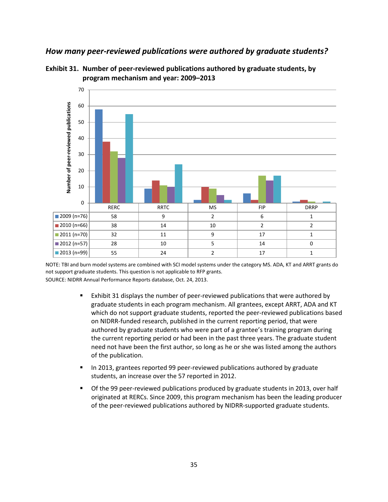#### *How many peer-reviewed publications were authored by graduate students?*

<span id="page-38-0"></span>



NOTE: TBI and burn model systems are combined with SCI model systems under the category MS. ADA, KT and ARRT grants do not support graduate students. This question is not applicable to RFP grants. SOURCE: NIDRR Annual Performance Reports database, Oct. 24, 2013.

- Exhibit 31 displays the number of peer-reviewed publications that were authored by graduate students in each program mechanism. All grantees, except ARRT, ADA and KT which do not support graduate students, reported the peer-reviewed publications based on NIDRR-funded research, published in the current reporting period, that were authored by graduate students who were part of a grantee's training program during the current reporting period or had been in the past three years. The graduate student need not have been the first author, so long as he or she was listed among the authors of the publication.
- In 2013, grantees reported 99 peer-reviewed publications authored by graduate students, an increase over the 57 reported in 2012.
- Of the 99 peer-reviewed publications produced by graduate students in 2013, over half originated at RERCs. Since 2009, this program mechanism has been the leading producer of the peer-reviewed publications authored by NIDRR-supported graduate students.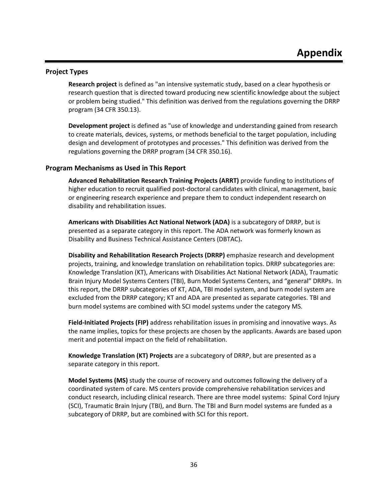#### <span id="page-39-1"></span><span id="page-39-0"></span>**Project Types**

**Research project** is defined as "an intensive systematic study, based on a clear hypothesis or research question that is directed toward producing new scientific knowledge about the subject or problem being studied." This definition was derived from the regulations governing the DRRP program (34 CFR 350.13).

**Development project** is defined as "use of knowledge and understanding gained from research to create materials, devices, systems, or methods beneficial to the target population, including design and development of prototypes and processes." This definition was derived from the regulations governing the DRRP program (34 CFR 350.16).

#### <span id="page-39-2"></span>**Program Mechanisms as Used in This Report**

**Advanced Rehabilitation Research Training Projects (ARRT)** provide funding to institutions of higher education to recruit qualified post-doctoral candidates with clinical, management, basic or engineering research experience and prepare them to conduct independent research on disability and rehabilitation issues.

**Americans with Disabilities Act National Network (ADA)** is a subcategory of DRRP, but is presented as a separate category in this report. The ADA network was formerly known as Disability and Business Technical Assistance Centers (DBTAC)**.** 

**Disability and Rehabilitation Research Projects (DRRP)** emphasize research and development projects, training, and knowledge translation on rehabilitation topics. DRRP subcategories are: Knowledge Translation (KT), Americans with Disabilities Act National Network (ADA), Traumatic Brain Injury Model Systems Centers (TBI), Burn Model Systems Centers, and "general" DRRPs. In this report, the DRRP subcategories of KT, ADA, TBI model system, and burn model system are excluded from the DRRP category; KT and ADA are presented as separate categories. TBI and burn model systems are combined with SCI model systems under the category MS.

**Field-Initiated Projects (FIP)** address rehabilitation issues in promising and innovative ways. As the name implies, topics for these projects are chosen by the applicants. Awards are based upon merit and potential impact on the field of rehabilitation.

**Knowledge Translation (KT) Projects** are a subcategory of DRRP, but are presented as a separate category in this report.

**Model Systems (MS)** study the course of recovery and outcomes following the delivery of a coordinated system of care. MS centers provide comprehensive rehabilitation services and conduct research, including clinical research. There are three model systems: Spinal Cord Injury (SCI), Traumatic Brain Injury (TBI), and Burn. The TBI and Burn model systems are funded as a subcategory of DRRP, but are combined with SCI for this report.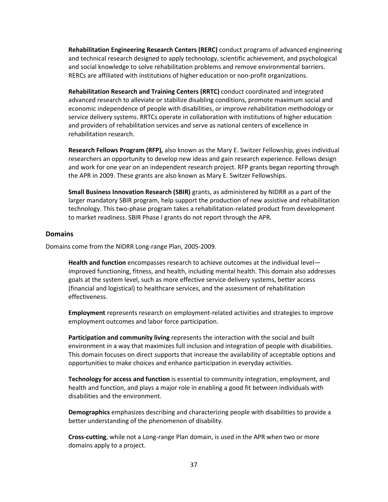**Rehabilitation Engineering Research Centers (RERC)** conduct programs of advanced engineering and technical research designed to apply technology, scientific achievement, and psychological and social knowledge to solve rehabilitation problems and remove environmental barriers. RERCs are affiliated with institutions of higher education or non-profit organizations.

**Rehabilitation Research and Training Centers (RRTC)** conduct coordinated and integrated advanced research to alleviate or stabilize disabling conditions, promote maximum social and economic independence of people with disabilities, or improve rehabilitation methodology or service delivery systems. RRTCs operate in collaboration with institutions of higher education and providers of rehabilitation services and serve as national centers of excellence in rehabilitation research.

**Research Fellows Program (RFP),** also known as the Mary E. Switzer Fellowship, gives individual researchers an opportunity to develop new ideas and gain research experience. Fellows design and work for one year on an independent research project. RFP grants began reporting through the APR in 2009. These grants are also known as Mary E. Switzer Fellowships.

**Small Business Innovation Research (SBIR)** grants, as administered by NIDRR as a part of the larger mandatory SBIR program, help support the production of new assistive and rehabilitation technology. This two-phase program takes a rehabilitation-related product from development to market readiness. SBIR Phase I grants do not report through the APR.

#### <span id="page-40-0"></span>**Domains**

Domains come from the NIDRR Long-range Plan, 2005-2009.

**Health and function** encompasses research to achieve outcomes at the individual level improved functioning, fitness, and health, including mental health. This domain also addresses goals at the system level, such as more effective service delivery systems, better access (financial and logistical) to healthcare services, and the assessment of rehabilitation effectiveness.

**Employment** represents research on employment-related activities and strategies to improve employment outcomes and labor force participation.

**Participation and community living** represents the interaction with the social and built environment in a way that maximizes full inclusion and integration of people with disabilities. This domain focuses on direct supports that increase the availability of acceptable options and opportunities to make choices and enhance participation in everyday activities.

**Technology for access and function** is essential to community integration, employment, and health and function, and plays a major role in enabling a good fit between individuals with disabilities and the environment.

**Demographics** emphasizes describing and characterizing people with disabilities to provide a better understanding of the phenomenon of disability.

**Cross-cutting**, while not a Long-range Plan domain, is used in the APR when two or more domains apply to a project.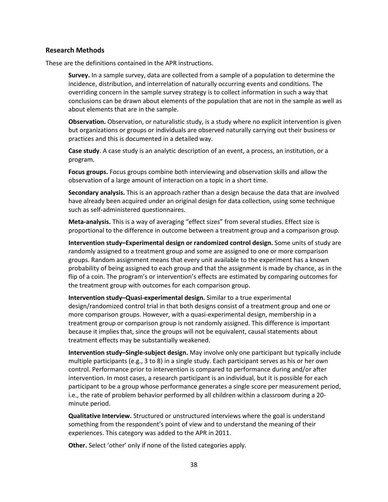#### <span id="page-41-0"></span>**Research Methods**

These are the definitions contained in the APR instructions.

**Survey.** In a sample survey, data are collected from a sample of a population to determine the incidence, distribution, and interrelation of naturally occurring events and conditions. The overriding concern in the sample survey strategy is to collect information in such a way that conclusions can be drawn about elements of the population that are not in the sample as well as about elements that are in the sample.

**Observation.** Observation, or naturalistic study, is a study where no explicit intervention is given but organizations or groups or individuals are observed naturally carrying out their business or practices and this is documented in a detailed way.

**Case study**. A case study is an analytic description of an event, a process, an institution, or a program.

**Focus groups.** Focus groups combine both interviewing and observation skills and allow the observation of a large amount of interaction on a topic in a short time.

**Secondary analysis.** This is an approach rather than a design because the data that are involved have already been acquired under an original design for data collection, using some technique such as self-administered questionnaires.

**Meta-analysis.** This is a way of averaging "effect sizes" from several studies. Effect size is proportional to the difference in outcome between a treatment group and a comparison group.

**Intervention study–Experimental design or randomized control design.** Some units of study are randomly assigned to a treatment group and some are assigned to one or more comparison groups. Random assignment means that every unit available to the experiment has a known probability of being assigned to each group and that the assignment is made by chance, as in the flip of a coin. The program's or intervention's effects are estimated by comparing outcomes for the treatment group with outcomes for each comparison group.

**Intervention study–Quasi-experimental design.** Similar to a true experimental design/randomized control trial in that both designs consist of a treatment group and one or more comparison groups. However, with a quasi-experimental design, membership in a treatment group or comparison group is not randomly assigned. This difference is important because it implies that, since the groups will not be equivalent, causal statements about treatment effects may be substantially weakened.

**Intervention study–Single-subject design.** May involve only one participant but typically include multiple participants (e.g., 3 to 8) in a single study. Each participant serves as his or her own control. Performance prior to intervention is compared to performance during and/or after intervention. In most cases, a research participant is an individual, but it is possible for each participant to be a group whose performance generates a single score per measurement period, i.e., the rate of problem behavior performed by all children within a classroom during a 20 minute period.

**Qualitative Interview.** Structured or unstructured interviews where the goal is understand something from the respondent's point of view and to understand the meaning of their experiences. This category was added to the APR in 2011.

**Other.** Select 'other' only if none of the listed categories apply.